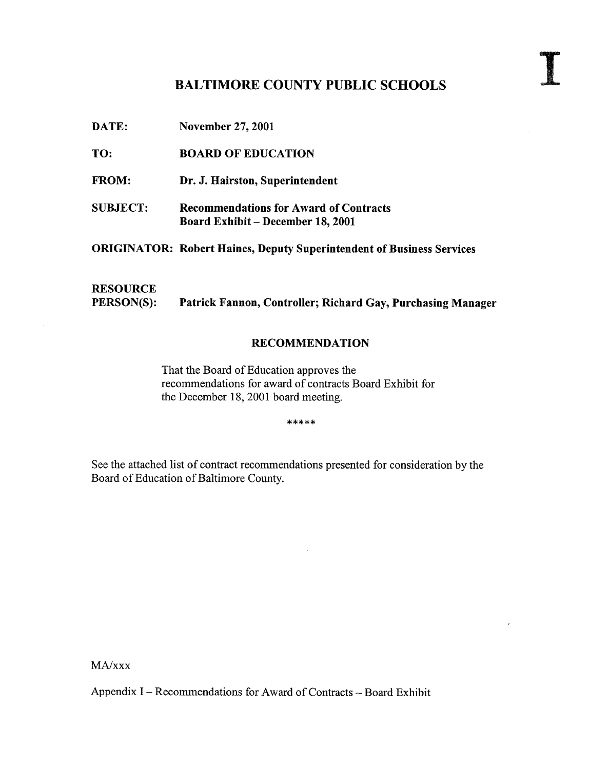# BALTIMORE COUNTY PUBLIC SCHOOLS

DATE: November 27, <sup>2001</sup>

TO: BOARD OF EDUCATION

FROM: Dr. J. Hairston, Superintendent

SUBJECT: Recommendations for Award of Contracts Board Exhibit - December 18, 2001

ORIGINATOR: Robert Haines, Deputy Superintendent of Business Services

**RESOURCE**<br>PERSON(S): Patrick Fannon, Controller; Richard Gay, Purchasing Manager

#### RECOMMENDATION

That the Board of Education approves the recommendations for award of contracts Board Exhibit for the December 18, 2001 board meeting.

\*\*\*\*\*

See the attached list of contract recommendations presented for consideration by the Board of Education of Baltimore County.

MA/xxx

Appendix I - Recommendations for Award of Contracts - Board Exhibit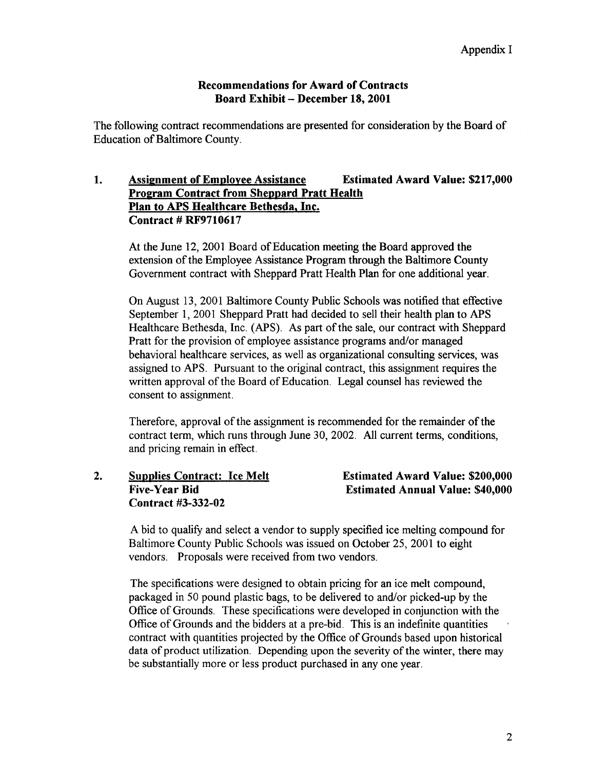### Recommendations for Award of Contracts Board Exhibit - December 18, 2001

The following contract recommendations are presented for consideration by the Board of Education of Baltimore County.

## 1. Assignment of Employee Assistance Estimated Award Value: \$217,000 Program Contract from Sheppard Pratt Health Plan to APS Healthcare Bethesda, Inc. Contract # RF9710617

At the June 12, 2001 Board of Education meeting the Board approved the extension of the Employee Assistance Program through the Baltimore County Government contract with Sheppard Pratt Health Plan for one additional year.

On August 13, 2001 Baltimore County Public Schools was notified that effective September l, 2001 Sheppard Pratt had decided to sell their health plan to APS Healthcare Bethesda, Inc. (APS). As part of the sale, our contract with Sheppard Pratt for the provision of employee assistance programs and/or managed behavioral healthcare services, as well as organizational consulting services, was assigned to APS. Pursuant to the original contract, this assignment requires the written approval of the Board of Education. Legal counsel has reviewed the consent to assignment.

Therefore, approval of the assignment is recommended for the remainder of the contract term, which runs through June 30, 2002. All current terms, conditions, and pricing remain in effect.

2. Supplies Contract: Ice Melt Estimated Award Value: \$200,000<br>Five-Year Bid Estimated Annual Value: \$40.000 Contract #3-332-02

**Estimated Annual Value: \$40,000** 

A bid to qualify and select <sup>a</sup> vendor to supply specified ice melting compound for Baltimore County Public Schools was issued on October 25, 2001 to eight vendors. Proposals were received from two vendors.

The specifications were designed to obtain pricing for an ice melt compound, packaged in 50 pound plastic bags, to be delivered to and/or picked-up by the Office of Grounds. These specifications were developed in conjunction with the Office of Grounds and the bidders at a pre-bid. This is an indefinite quantities contract with quantities projected by the Office of Grounds based upon historical data of product utilization. Depending upon the severity of the winter, there may be substantially more or less product purchased in any one year.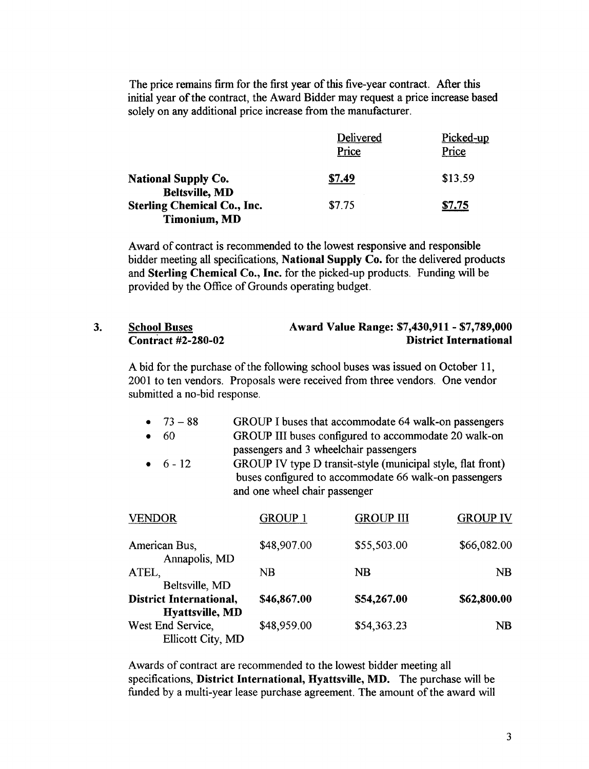The price remains firm for the first year of this five-year contract. After this initial year of the contract, the Award Bidder may request a price increase based solely on any additional price increase from the manufacturer.

|                                                           | Delivered<br>Price | Picked-up<br>Price |
|-----------------------------------------------------------|--------------------|--------------------|
| <b>National Supply Co.</b><br><b>Beltsville, MD</b>       | \$7.49             | \$13.59            |
| <b>Sterling Chemical Co., Inc.</b><br><b>Timonium, MD</b> | \$7.75             | \$7.75             |
|                                                           |                    |                    |

Award of contract is recommended to the lowest responsive and responsible bidder meeting all specifications, National Supply Co. for the delivered products and Sterling Chemical Co., Inc. for the picked-up products. Funding will be provided by the Office of Grounds operating budget.

### 3. School Buses<br>
Contract #2-280-02<br>
District International **District International**

A bid for the purchase of the following school buses was issued on October 11, 2001 to ten vendors. Proposals were received from three vendors. One vendor submitted a no-bid response.

- 73 88 GROUP I buses that accommodate 64 walk-on passengers<br>60 GROUP III buses configured to accommodate 20 walk-on GROUP III buses configured to accommodate 20 walk-on
- passengers and 3 wheelchair passengers
- 6-12 GROUP IV type D transit-style (municipal style, flat front) buses configured to accommodate 66 walk-on passengers and one wheel chair passenger

| VENDOR                                            | <b>GROUP 1</b> | <b>GROUP III</b> | <b>GROUP IV</b> |
|---------------------------------------------------|----------------|------------------|-----------------|
| American Bus,<br>Annapolis, MD                    | \$48,907.00    | \$55,503.00      | \$66,082.00     |
| ATEL,<br>Beltsville, MD                           | NB             | $_{\rm NB}$      | NB              |
| <b>District International,</b><br>Hyattsville, MD | \$46,867.00    | \$54,267.00      | \$62,800.00     |
| West End Service,<br>Ellicott City, MD            | \$48,959.00    | \$54,363.23      | NB              |

Awards of contract are recommended to the lowest bidder meeting all specifications, District International, Hyattsville, MD. The purchase will be funded by a multi-year lease purchase agreement. The amount of the award will